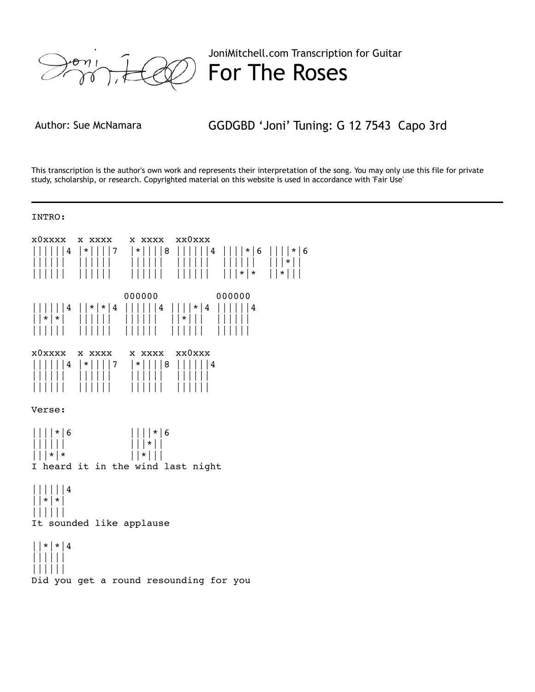

JoniMitchell.com Transcription for Guitar For The Roses

Author: Sue McNamara GGDGBD 'Joni' Tuning: G 12 7543 Capo 3rd

This transcription is the author's own work and represents their interpretation of the song. You may only use this file for private study, scholarship, or research. Copyrighted material on this website is used in accordance with 'Fair Use'

## INTRO:

x0xxxx x xxxx x xxxx xx0xxx ||||||4 |\*||||7 |\*||||8 ||||||4 ||||\*|6 ||||\*|6 |||||| |||||| |||||| |||||| |||||| |||\*|| |||||| |||||| |||||| |||||| |||\*|\* ||\*||| 000000 000000 ||||||4 ||\*|\*|4 ||||||4 ||||\*|4 ||||||4 ||\*|\*| |||||| |||||| ||\*||| |||||| |||||| |||||| |||||| |||||| |||||| x0xxxx x xxxx x xxxx xx0xxx ||||||4 |\*||||7 |\*||||8 ||||||4 |||||| |||||| |||||| |||||| |||||| |||||| |||||| |||||| Verse: ||||\*|6 ||||\*|6<br>|||||| |||||| |||\*||  $|||*|*$   $|||*|||$ I heard it in the wind last night ||||||4 ||\*|\*| |||||| It sounded like applause ||\*|\*|4 |||||| |||||| Did you get a round resounding for you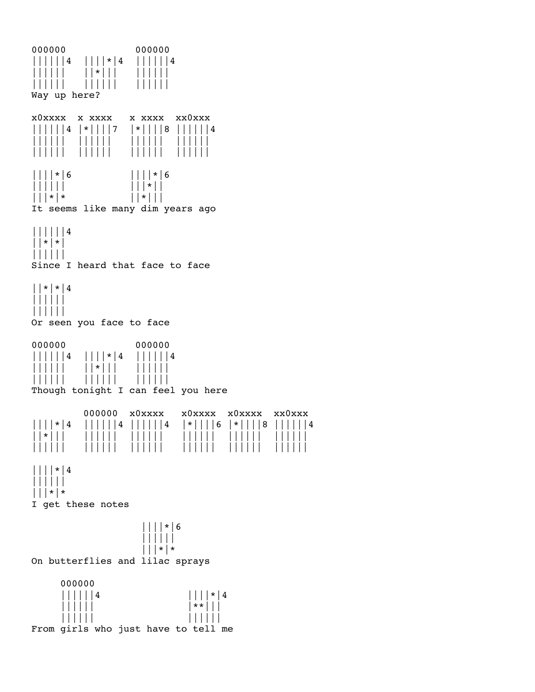000000 000000 ||||||4 ||||\*|4 ||||||4 |||||| ||\*||| |||||| |||||| |||||| |||||| Way up here? x0xxxx x xxxx x xxxx xx0xxx ||||||4 |\*||||7 |\*||||8 ||||||4 |||||| |||||| |||||| |||||| |||||| |||||| |||||| |||||| ||||\*|6 ||||\*|6 |||||| |||\*||  $|||*|*$   $|||*|||$ It seems like many dim years ago ||||||4 ||\*|\*| |||||| Since I heard that face to face ||\*|\*|4 |||||| |||||| Or seen you face to face 000000 000000 ||||||4 ||||\*|4 ||||||4 |||||| ||\*||| |||||| |||||| |||||| |||||| Though tonight I can feel you here 000000 x0xxxx x0xxxx x0xxxx xx0xxx ||||\*|4 ||||||4 ||||||4 |\*||||6 |\*||||8 ||||||4 ||\*||| |||||| |||||| |||||| |||||| |||||| |||||| |||||| |||||| |||||| |||||| |||||| ||||\*|4 |||||| |||\*|\* I get these notes ||||\*|6 |||||| |||\*|\* On butterflies and lilac sprays 000000  $||| |||| || 4$   $|| || || \cdot || 4$  |||||| |\*\*||| |||||| |||||| From girls who just have to tell me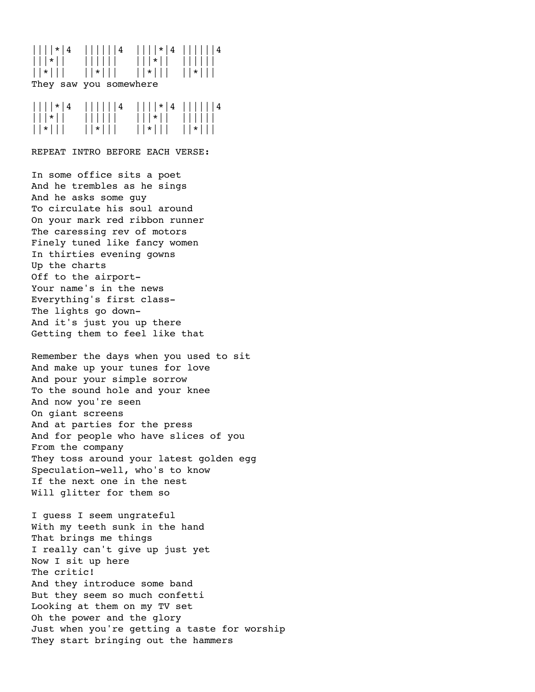## ||||\*|4 ||||||4 ||||\*|4 ||||||4 |||\*|| |||||| |||\*|| |||||| ||\*||| ||\*||| ||\*||| ||\*||| They saw you somewhere

| $\left  \left  \right  \right  \left  * \right $ $\left  4 \right $ | $\left  \left  \right  \right  \left  \right  \left  4 \right $ | $     * 4      4$                     |          |
|---------------------------------------------------------------------|-----------------------------------------------------------------|---------------------------------------|----------|
| $\vert \vert \vert * \vert \vert$                                   | $\frac{1}{2}$                                                   | $\vert\vert\vert\vert$ * $\vert\vert$ |          |
| $  *   $                                                            | $  \cdot   $                                                    | $  *   $                              | $  *   $ |

REPEAT INTRO BEFORE EACH VERSE:

In some office sits a poet And he trembles as he sings And he asks some guy To circulate his soul around On your mark red ribbon runner The caressing rev of motors Finely tuned like fancy women In thirties evening gowns Up the charts Off to the airport-Your name's in the news Everything's first class-The lights go down-And it's just you up there Getting them to feel like that

Remember the days when you used to sit And make up your tunes for love And pour your simple sorrow To the sound hole and your knee And now you're seen On giant screens And at parties for the press And for people who have slices of you From the company They toss around your latest golden egg Speculation-well, who's to know If the next one in the nest Will glitter for them so

I guess I seem ungrateful With my teeth sunk in the hand That brings me things I really can't give up just yet Now I sit up here The critic! And they introduce some band But they seem so much confetti Looking at them on my TV set Oh the power and the glory Just when you're getting a taste for worship They start bringing out the hammers